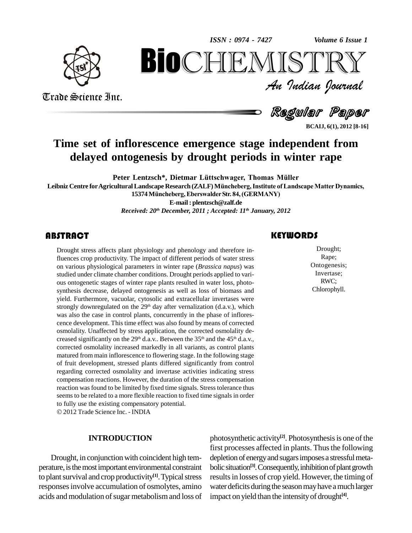*Volume 6 Issue 1*



Trade Science Inc.

Trade Science Inc.

An Indian Journal<br>Regul**ar Pa**per *Volume* 6 Issue 1<br> $\begin{array}{c} \text{Volume of } \text{I} \\ \text{S} \text{TR} \\ \text{J} \text{median} \text{ Journal} \end{array}$ **BioCHEMISTRY**<br>Au Indian Journal<br>Regular Paper<br>rescence emergence stage independent from<br>enesis by drought periods in winter rape

**BCAIJ, 6(1), 2012 [8-16]**

# **Time set of inflorescence emergence stage independent from delayed ontogenesis** by drought periods in winter rape<br>Peter Lentzsch\*, Dietmar Lüttschwager, Thomas Müller

**Leibniz** Centre for Agricultural Landscape Research (ZALF) Müncheberg, Institute of Landscape Matter Dynamics, Peter Lentzsch\*, Dietmar Lüttschwager, Thomas Müller<br>
15374 Müncheberg, Eberswalder Str. 84, (GERMANY) **E-mail: [plentzsch@zalf.de](mailto:plentzsch@zalf.de)** *Received: 20 th December, 2011 ; Accepted: 11 th January, 2012*

### **ABSTRACT**

Drought stress affects planet<br>fluences crop productivity<br>on various physiological Drought stress affects plant physiology and phenology and therefore influences crop productivity. The impact of different periods of water stress on various physiological parameters in winter rape (*Brassica napus*) was studied under climate chamber conditions. Drought periods applied to vari ous ontogenetic stages of winter rape plants resulted in water loss, photo synthesis decrease, delayed ontogenesis as well as loss of biomass and yield. Furthermore, vacuolar, cytosolic and extracellular invertases were strongly downregulated on the 29<sup>th</sup> day after vernalization (d.a.v.), which was also the case in control plants, concurrently in the phase of inflores cence development. This time effect was also found by means of corrected osmolality. Unaffected by stress application, the corrected osmolality de creased significantly on the 29<sup>th</sup> d.a.v.. Between the 35<sup>th</sup> and the 45<sup>th</sup> d.a.v., corrected osmolality increased markedly in all variants, as control plants matured from main inflorescence to flowering stage. In the following stage of fruit development, stressed plants differed significantly from control regarding corrected osmolality and invertase activities indicating stress compensation reactions. However, the duration of the stress compensation reaction was found to be limited by fixed time signals. Stress tolerance thus seemsto be related to a more flexible reaction to fixed time signals in order to fully use the existing compensatory potential. 2012Trade Science Inc. - INDIA

#### **INTRODUCTION**

Drought, in conjunction with coincident high temperature, is the most important environmental constraint to plant survival and crop productivity<sup>[1]</sup>. Typical stress resul responsesinvolve accumulation of osmolytes, amino acids and modulation of sugar metabolism and loss of

### **KEYWORDS**

Drought;<br>
Rape;<br>
Ontogenesis; Drought; Rape; Ontogenesis; Invertase; RWC; Chlorophyll.

photosynthetic activity<sup>[2]</sup>. Photosynthesis is one of the first processes affected in plants. Thus the following depletion of energy and sugars imposes a stressful metabolic situation<sup>[3]</sup>. Consequently, inhibition of plant growth results in losses of crop yield. However, the timing of water deficits during the season may have a much larger impact on yield than the intensityof drought **[4]**.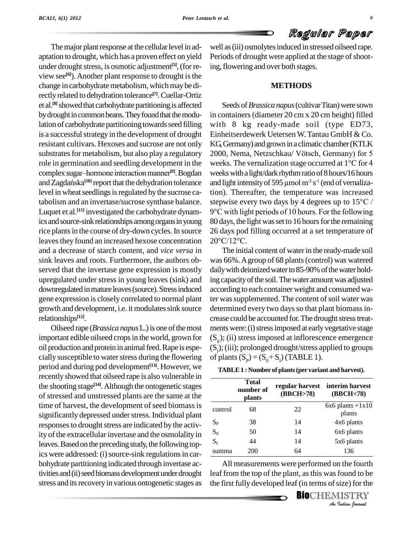The major plant response at the cellular level in adaptation to drought, which has a proven effect on yield under drought stress, is osmotic adjustment<sup>[5]</sup>, (for re- ing, view see **[6]**).Another plant response to drought isthe change in carbohydrate metabolism, which may be directlyrelated to dehydration tolerance **[7]**.Cuellar-Ortiz et al.<sup>[8]</sup> showed that carbohydrate partitioning is affected See by drought in common beans. They found that the modulation of carbohydrate partitioning towards seed filling is a successful strategy in the development of drought resistant cultivars. Hexoses and sucrose are not only role in germination and seedling development in the substrates for metabolism, but also play a regular<br>role in germination and seedling development in<br>complex sugar–hormone interaction manner<sup>[9]</sup>. Bog complex sugar-hormone interaction manner<sup>[9]</sup>. Bogdan role in germination and seedling development in the weeks<br>complex sugar–hormone interaction manner<sup>[9]</sup>. Bogdan weeks<br>and Zagdańska<sup>[10]</sup> report that the dehydration tolerance and lig level in wheat seedlings is regulated by the sucrose ca-Luquet et al. **[11]** investigated the carbohydrate dynamics and source-sink relationships among organs in young rice plants in the course of dry-down cycles. In source leaves they found an increased hexose concentration  $20^{\circ}$ C/12<sup>°</sup>C. and a decrease of starch content, and *vice versa* in sink leaves and roots. Furthermore, the authors ob served that the invertase gene expression is mostly upregulated under stress in young leaves (sink) and downregulated in mature leaves (source). Stress induced gene expression isclosely correlated to normal plant growth and development, i.e. it modulates sink source relationships **[12]**.

Oilseed rape (*Brassica napus*L.)is one ofthemost important edible oilseed crops in the world, grown for oil production and protein in animal feed. Rape is especially susceptible to water stress during the flowering period and during pod development **[13]**. However, we recently showed that oilseed rape is also vulnerable in the shooting stage **[14]**.Although the ontogenetic stages of stressed and unstressed plants are the same at the time of harvest, the development of seed biomass is significantly depressed under stress. Individual plant responses to drought stress are indicated by the activity of the extracellular invertase and the osmolality in leaves. Based on the preceding study, the following topics were addressed: (i) source-sink regulations in carbohydrate partitioning indicated through invertase activities and (ii) seed biomass development under drought stress and its recovery in various ontogenetic stages as

well as (iii) osmolytes induced in stressed oilseed rape. Periods of drought were applied at the stage of shooting, flowering and over both stages.

#### **METHODS**

substrates for metabolism, but also play a regulatory 2000, Nema, Netzschkau/Vötsch, Germany) for 5 tabolism and an invertase/sucrose synthase balance. stepwise every two days by 4 degrees up to  $15^{\circ}$ C / Seeds of*Brassica napus*(cultivarTitan)were sown in containers(diameter 20 cm x 20 cm height) filled with 8 kg ready-made soil (type ED73, Einheitserdewerk Uetersen W.Tantau GmbH & Co. KG, Germany) and grown in a climatic chamber (KTLK Einheitserdewerk Uetersen W. Tantau GmbH & Co.<br>KG Germany) and grown in a climatic chamber (KTLK<br>2000, Nema, Netzschkau/ Vötsch, Germany) for 5 KG Germany) and grown in a climatic chamber (KTLK<br>2000, Nema, Netzschkau/ Vötsch, Germany) for 5<br>weeks. The vernalization stage occurred at 1°C for 4 weekswitha light/darkrhythmratioof8hours/16hours weeks. The vernalization stage occurred a<br>weeks with a light/dark rhythm ratio of 8 hou<br>and light intensity of 595 µmol m<sup>2</sup> s<sup>-1</sup> (end o and light intensity of 595  $\mu$ mol m<sup>2</sup> s<sup>-1</sup> (end of vernalization). Thereafter, the temperature was increased<br>stepwise every two days by 4 degrees up to 15<sup>o</sup>C / tion). Thereafter, the temperature was increased <sup>9</sup>°C with light periods of <sup>10</sup> hours. For the following 80 days, the light was set to 16 hours for the remaining<br>26 days pod filling occurred at a set temperature of<br>20°C/12°C. 26 days pod filling occurred at a set temperature of

> The initial content of water in the ready-made soil was 66%.Agroup of 68 plants(control) was watered daily with deionized water to 85-90% of the water holding capacity of the soil. The water amount was adjusted according to each container weight and consumed water was supplemented. The content of soil water was determined every two days so that plant biomass increase could be accounted for. The drought stress treatments were: (i) stress imposed at early vegetative stage  $(S<sub>E</sub>)$ ; (ii) stress imposed at inflorescence emergence  $(S<sub>1</sub>)$ ; (iii); prolonged drought/stress applied to groups of plants  $(S_p) = (S_E + S_I)$  (TABLE 1).

|                         | Total<br>number of<br><b>plants</b> | (BBCH>78) | regular harvest interim harvest<br>(BBCH<78) |  |  |
|-------------------------|-------------------------------------|-----------|----------------------------------------------|--|--|
| control                 | 68                                  | 22        | $6x6$ plants $+1x10$<br>plants               |  |  |
| $\mathrm{S}_\mathrm{P}$ | 38                                  | 14        | 4x6 plants                                   |  |  |
| $S_{E}$                 | 50                                  | 14        | 6x6 plants                                   |  |  |
| $S_I$                   | 44                                  | 14        | 5x6 plants                                   |  |  |
| summa                   | 200                                 | 64        | 136                                          |  |  |

136<br>**n** the fourth<br>found to be<br>size) for the<br>**IISTRY** All measurements were performed on the fourth leaf from the top of the plant, asthis wasfound to be the first fully developed leaf (in terms of size) for the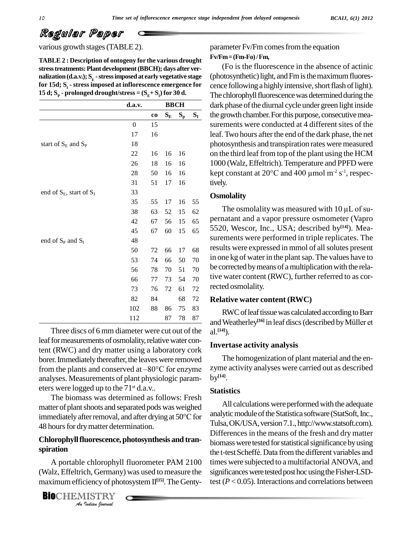**TABLE 2 : Description of ontogeny for the various drought stresstreatments:Plantdevelopment(BBCH);daysafter ver nalization (d.a.v.);**  $\mathbf{S}_{\mathbf{E}}$  **- stress imposed at early vegetative stage (pho for 15d; S<sup>I</sup> - stress imposed at inflorescence emergence for 15 d**;  $S_p$  - prolonged drought/stress =  $(S_E + S_l)$  for 30 **d**.

|                               | d.a.v.           |    |                         |                           | <b>BBCH</b> |  |
|-------------------------------|------------------|----|-------------------------|---------------------------|-------------|--|
|                               |                  | co | $\mathbf{S}_\mathrm{E}$ | $\mathbf{S}_{\mathbf{p}}$ | $S_I$       |  |
|                               | $\boldsymbol{0}$ | 15 |                         |                           |             |  |
|                               | 17               | 16 |                         |                           |             |  |
| start of $S_E$ and $S_P$      | 18               |    |                         |                           |             |  |
|                               | 22               | 16 | 16                      | 16                        |             |  |
|                               | 26               | 18 | 16                      | 16                        |             |  |
|                               | $28\,$           | 50 | 16                      | 16                        |             |  |
|                               | 31               | 51 | 17                      | 16                        |             |  |
| end of $S_E$ , start of $S_I$ | 33               |    |                         |                           |             |  |
|                               | 35               | 55 | 17                      | 16                        | 55          |  |
|                               | 38               | 63 | 52                      | 15                        | 62          |  |
|                               | 42               | 67 | 56                      | 15                        | 65          |  |
|                               | 45               | 67 | 60                      | 15                        | 65          |  |
| end of $S_P$ and $S_I$        | 48               |    |                         |                           |             |  |
|                               | 50               | 72 | 66                      | 17                        | 68          |  |
|                               | 53               | 74 | 66                      | 50                        | 70          |  |
|                               | 56               | 78 | 70                      | 51                        | 70          |  |
|                               | 66               | 77 | 73                      | 54                        | 70          |  |
|                               | 73               | 76 | 72                      | 61                        | 72          |  |
|                               | 82               | 84 |                         | 68                        | 72          |  |
|                               | 102              | 88 | 86                      | 75                        | 83          |  |
|                               | 112              |    | 87                      | 78                        | 87          |  |

Three discs of 6 mm diameter were cut out of the leaf for measurements of osmolality, relative water content (RWC) and dry matter using a laboratory cork borer. Immediately thereafter, the leaves were removed The tent (RWC) and dry matter using a laboratory cork<br>borer. Immediately thereafter, the leaves were removed Theorem the plants and conserved at  $-80^{\circ}$ C for enzyme zyme analyses. Measurements of plant physiologic param eters were logged up to the 71 st d.a.v..

The biomass was determined as follows: Fresh matter of plant shoots and separated pods was weighed The biomass was determined as follows: Fresh<br>matter of plant shoots and separated pods was weighed<br>immediately after removal, and after drying at  $50^{\circ}$ C for 48 hours for dry matter determination.

### **Chlorophyllfluorescence,photosynthesis and tran spiration**

*I*<br>Ch, Germany<br>*I*<br>*ISTRY<br><i>Indian Iournal* A portable chlorophyll fluorometer PAM 2100 (Walz, Effeltrich, Germany) was used to measure the maximumefficiencyof photosystemII **[15]**.The Genty-

**BIO**CHEMISTRY<br>An Indian Journal

various growth stages (TABLE 2). parameter Fv/Fm comes from the equation **Fv/Fm=(Fm-Fo)/Fm,**

> (Fo is the fluorescence in the absence of actinic (photosynthetic) light, and Fm is the maximum fluorescence following a highly intensive, short flash of light). The chlorophyll fluorescence was determined during the dark phase ofthe diurnal cycle under green light inside **d.a.v. BBCH** the growth chamber. For this purpose, consecutive measurements were conducted at 4 different sites of the leaf. Two hours after the end of the dark phase, the net photosynthesis and transpiration rates were measured on the third leaf from top of the plant using the HCM 1000 (Walz, Effeltrich).Temperature and PPFD were on the third leaf from top of the plant using the HCM<br>1000 (Walz, Effeltrich). Temperature and PPFD were<br>kept constant at  $20^{\circ}$ C and  $400 \mu$ mol m<sup>-2</sup> s<sup>-1</sup>, respectively.

#### **Osmolality**

The osmolality was measured with  $10 \mu L$  of supernatant and a vapor pressure osmometer (Vapro 5520, Wescor, Inc., USA; described by **[14]**). Mea surements were performed in triple replicates. The results were expressed in mmol of allsolutes present in one kg of water in the plant sap. The values have to be corrected by means of a multiplication with the relative water content (RWC), further referred to as corrected osmolality.

#### **Relative water content (RWC)** 82 84 68 72

RWC of leaf tissue was calculated according to Barr **Kelative water content (KWC)**<br>RWC of leaf tissue was calculated according to Barr<br>and Weatherley<sup>[16]</sup> in leaf discs (described by Müller et al. **[14]**).

#### **Invertase activity analysis**

The homogenization of plant material and the en zyme activity analyses were carried out as described by **[14]**.

#### **Statistics**

All calculations were performed with the adequate analytic module of the Statistica software (StatSoft, Inc., Tulsa,OK/USA,version7.1.,[http://www.statsoft.com\).](http://www.statsoft.com).) Differences in the means of the fresh and dry matter<br>biomass were tested for statistical significance by using<br>the t-test Scheffé. Data from the different variables and biomass were tested for statistical significance by using times were subjected to a multifactorial ANOVA, and significances were tested post hoc using the Fisher-LSDtest  $(P < 0.05)$ . Interactions and correlations between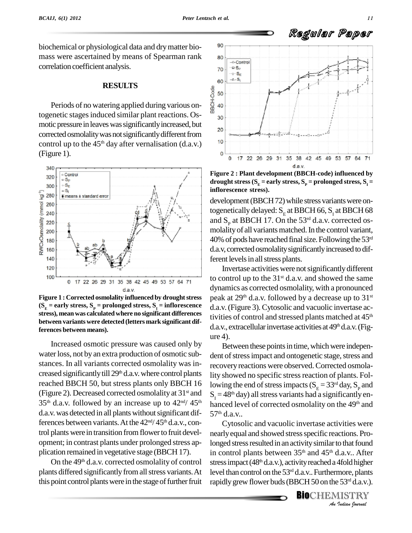biochemical or physiological data and dry matter bio-<sup>90</sup> mass were ascertained by means of Spearman rank  $\begin{array}{c|c}\n\hline\n\end{array}$ correlation coefficient analysis.

#### **RESULTS**

**RESOLTS**<br>Periods of no watering applied during various ontogenetic stages induced similar plant reactions. Os- $\frac{m}{30}$ motic pressure in leaves was significantly increased, but 20 corrected osmolality was not significantly different from<br>control up to the 45<sup>th</sup> day after vernalisation (d a y) control up to the  $45<sup>th</sup>$  day after vernalisation (d.a.v.)  $1<sup>10</sup>$ (Figure 1).



**Figure 1 : Corrected osmolality influenced by droughtstress**  $(S<sub>E</sub> =$  **early** stress,  $S<sub>p</sub> =$  **prolonged** stress,  $S<sub>1</sub> =$  **inflorescence stress), meanwas calculated where no significant differences between variants were detected (letters mark significant differences between means).**

Increased osmotic pressure was caused only by water loss, not by an extra production of osmotic substances. In all variants corrected osmolality was in creased significantly till  $29<sup>th</sup>$  d.a.v. where control plants lity s reached BBCH 50, but stress plants only BBCH 16 (Figure 2). Decreased corrected osmolality at 31<sup>st</sup> and  $35<sup>th</sup>$  d.a.v. followed by an increase up to  $42<sup>nd</sup>/45<sup>th</sup>$ d.a.v. was detected in all plants without significant differences between variants. At the  $42<sup>nd</sup>/45<sup>th</sup> d.a.v., con$ trol plants were in transition from flower to fruit development; in contrast plants under prolonged stress ap plication remained in vegetative stage (BBCH 17).

On the 49<sup>th</sup> d.a.v. corrected osmolality of control stre plants differed significantly from all stress variants. At this point control plants were in the stage of further fruit



**Figure 2 : Plant development (BBCH-code) influenced by drought stress**  $(S_E = \text{early stress}, S_P = \text{prolonged stress}, S_I = \text{new}$ **inflorescence stress).**

development (BBCH72) while stress variants were ontogenetically delayed:  $S<sub>F</sub>$  at BBCH 66,  $S<sub>r</sub>$  at BBCH 68 and  $S_p$  at BBCH 17. On the 53<sup>rd</sup> d.a.v. corrected osmolality of all variants matched. In the control variant,  $40\%$  of pods have reached final size. Following the  $53<sup>rd</sup>$ d.a.v, corrected osmolality significantly increased to different levels in all stress plants.

Invertase activities were notsignificantlydifferent to control up to the  $31^{\text{st}}$  d.a.v. and showed the same dynamics as corrected osmolality, with a pronounced peak at 29<sup>th</sup> d.a.v. followed by a decrease up to 31st d.a.v.(Figure 3). Cytosolic and vacuolic invertase activities of control and stressed plants matched at 45<sup>th</sup> d.a.v., extracellular invertase activities at 49<sup>th</sup> d.a.v. (Figure 4).

Between these points in time, which were independent of stress impact and ontogenetic stage, stress and recovery reactions were observed.Corrected osmolality showed no specific stress reaction of plants. Following the end of stress impacts ( $S_E = 33<sup>rd</sup>$  day,  $S_p$  and <sup>st and</sup>  $S_1 = 48<sup>th</sup>$  day) all stress variants had a significantly en- $/45<sup>th</sup>$  hanced level of corrected osmolality on the 49<sup>th</sup> and  $57<sup>th</sup>$  d.a.v..

> *Anlonged stress resulted in an activity similar to that found I.a.v.. After*<br>4fold higher<br>253<sup>rd</sup> d.a.v.).<br>IISTRY Cytosolic and vacuolic invertase activities were nearly equal and showed stress specific reactions. Proin control plants between 35<sup>th</sup> and 45<sup>th</sup> d.a.v.. After stress impact (48<sup>th</sup> d.a.v.), activity reached a 4fold higher level than control on the 53 rd d.a.v..Furthermore, plants rapidly grew flower buds (BBCH 50 on the 53<sup>rd</sup> d.a.v.).

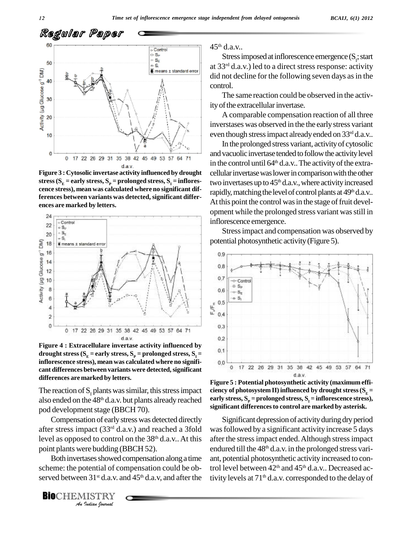

**Figure 3 : Cytosolic invertase activity influenced by drought** stress ( $S_E$  = early stress,  $S_P$  = prolonged stress,  $S_I$  = inflores-<br>cence stress), mean was calculated where no significant dif**ferences between variants was detected, significant differ ences are marked by letters.**



**Figure 4 : Extracellulare invertase activity influenced by drought stress**  $(S<sub>E</sub> =$ **early stress**,  $S<sub>P</sub> =$ **prolonged stress**,  $S<sub>1</sub> =$ **inflorescence stress), mean was calculated where no signifi cant differences** between variants were detected, significant **differences are marked by letters. Figure <sup>5</sup> : Potential photosynthetic activity (maximum effi-**

The reaction of  $S<sub>r</sub>$  plants was similar, this stress impact also ended on the  $48<sup>th</sup>$  d.a.v. but plants already reached early sti pod development stage (BBCH 70).

Compensation of early stress was detected directly after stress impact (33<sup>rd</sup> d.a.v.) and reached a 3fold was fol level as opposed to control on the  $38<sup>th</sup>$  d.a.v.. At this after

**Analytical Branch** *Indian*<br>
Both invertases showed compensation along a<br>
scheme: the potential of compensation could b<br>
served between 31<sup>st</sup> d.a.v. and 45<sup>th</sup> d.a.v, and after<br> **BIO**CHEMISTRY Both invertases showed compensation along a time scheme: the potential of compensation could be ob served between  $31<sup>st</sup>$  d.a.v. and  $45<sup>th</sup>$  d.a.v, and after the tivity

**BIO**CHEMISTRY

45 th d.a.v..

Stress imposed at inflorescence emergence  $(S<sub>i</sub>; start)$ at 33 rd d.a.v.) led to a direct stress response: activity did not decline for the following seven days as in the control.

The same reaction could be observed in the activity of the extracellular invertase.

A comparable compensation reaction of all three inverstases was observed in the the earlystress variant even though stress impact already ended on 33<sup>rd</sup> d.a.v..

In the prolonged stress variant, activityof cytosolic and vacuolic invertase tended to follow the activity level in the control until  $64^{\text{th}}$  d.a.v.. The activity of the extracellular invertase was lower in comparison with the other two invertases up to 45 th d.a.v.,where activityincreased rapidly, matching the level of control plants at 49<sup>th</sup> d.a.v.. At this point the control was in the stage of fruit development while the prolonged stress variant wasstill in inflorescence emergence.

Stressimpact and compensation was observed by potential photosynthetic activity(Figure 5).



**ciency** of photosystem **II**) **influenced** by drought stress ( $S<sub>E</sub>$  = early stress,  $S_p$  = prolonged stress,  $S_t$  = inflorescence stress),<br>significant differences to control are marked by asterisk.

Significant depression of activity during dry period was followed by a significant activity increase 5 days after the stressimpact ended.Although stressimpact endured till the 48<sup>th</sup> d.a.v. in the prolonged stress variant, potential photosynthetic activity increased to control level between 42<sup>th</sup> and 45<sup>th</sup> d.a.v.. Decreased activity levels at 71 th d.a.v. corresponded to the delay of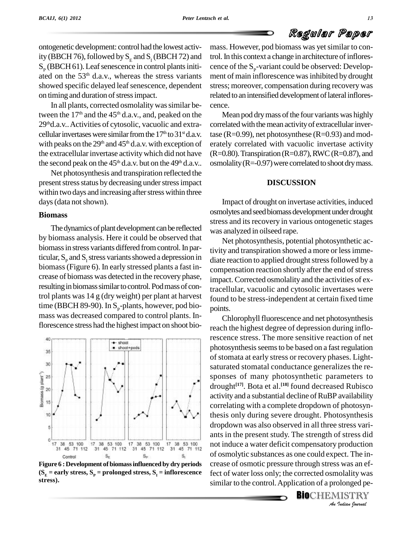ontogenetic development: control had the lowest activ- $S_p$  (BBCH 61). Leaf senescence in control plants initi-<br>ated on the 53<sup>th</sup> d.a.v., whereas the stress variants ment showed specific delayed leaf senescence, dependent on timing and duration of stress impact.

In all plants, corrected osmolality was similar between the  $17<sup>th</sup>$  and the  $45<sup>th</sup>$  d.a.v., and, peaked on the M 29<sup>th</sup>d.a.v.. Activities of cytosolic, vacuolic and extra- corr cellular invertases were similar from the  $17<sup>th</sup>$  to  $31<sup>st</sup>$  d.a.v. tas with peaks on the  $29<sup>th</sup>$  and  $45<sup>th</sup>$  d.a.v. with exception of erate the extracellular invertase activity which did not have the second peak on the  $45<sup>th</sup>$  d.a.v. but on the  $49<sup>th</sup>$  d.a.v.. os

Net photosynthesis and transpiration reflected the present stress status by decreasing under stress impact within two days and increasing after stress within three days (data not shown).

#### **Biomass**

The dynamics of plant development can be reflected by biomass analysis. Here it could be observed that biomassin stress variants differed fromcontrol.In particular,  $S_p$  and  $S_t$  stress variants showed a depression in biomass(Figure 6). In early stressed plants a fast in crease of biomass was detected in the recovery phase, resulting in biomass similar to control. Pod mass of control plants was 14 g (dry weight) per plant at harvest time (BBCH 89-90). In  $S_p$ -plants, however, pod bio-<br>mass was decreased compared to control plants. Inflorescence stress had the highest impact on shoot bio-



**Figure 6 :Development of biomassinfluenced by dry periods**  $(S<sub>F</sub> =$  **early** stress,  $S<sub>P</sub> =$  **prolonged** stress,  $S<sub>T</sub> =$  **inflorescence stress).**

ity (BBCH 76), followed by  $S_E$  and  $S_I$  (BBCH 72) and trol. In this context a change in architecture of inflores-<br> $S_p$  (BBCH 61). Leaf senescence in control plants initi-<br>cence of the  $S_p$ -variant could be observed: Deve mass. However, pod biomass was yet similar to control. In this context a change in architecture of infloresment of main inflorescence was inhibited by drought stress; moreover, compensation during recoverywas related to an intensified development of lateral inflorescence.

> Mean pod dry mass of the four variants was highly correlated with the mean activity of extracellular invertase ( $R=0.99$ ), net photosynthese ( $R=0.93$ ) and moderately correlated with vacuolic invertase activity  $(R=0.80)$ . Transpiration  $(R=0.87)$ , RWC  $(R=0.87)$ , and osmolality ( $R = -0.97$ ) were correlated to shoot dry mass.

#### **DISCUSSION**

Impact of drought on invertase activities, induced osmolytes and seed biomass development under drought stress and its recovery in various ontogenetic stages was analyzed in oilseed rape.

Net photosynthesis, potential photosynthetic activity and transpiration showed a more or lessimme diate reaction to applied drought stress followed by a compensation reaction shortly after the end of stress impact. Corrected osmolality and the activities of extracellular, vacuolic and cytosolic invertases were found to be stress-independent at certain fixed time points.

*An*not induce a water deficit compensatory production production<br>ect. The in-<br>*S* was an ef-<br>*Indian fournal* Chlorophyll fluorescence and net photosynthesis reach the highest degree of depression during inflorescence stress. The more sensitive reaction of net photosynthesis seems to be based on a fast regulation of stomata at early stress or recovery phases. Light saturated stomatal conductance generalizes the re sponses of many photosynthetic parameters to drought **[17]**. Bota et al. **[18]** found decreased Rubisco activity and a substantial decline of RuBP availability correlating with a complete dropdown of photosynthesis only during severe drought. Photosynthesis dropdown was also observed in all three stress vari ants in the present study. The strength of stress did of osmolytic substances as one could expect. The in crease of osmotic pressure through stress was an effect of water loss only; the corrected osmolality was similar to the control.Application of a prolonged pe-

**BIO**CHEMISTRY<br>An Indian Journal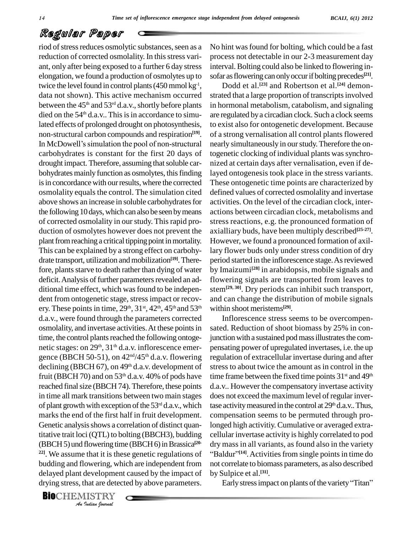(BBCH 5) und flowering time (BBCH 6) in Brassica<sup>[20-</sup> dry *I* that it is the<br>
owering, wh<br>
developmen<br>
hat are detec<br>
IISTRY riod of stress reduces osmolytic substances, seen as a reduction of corrected osmolality. In this stress varielongation, we found a production of osmolytes up to twice the level found in control plants  $(450 \text{ mmol kg}^1, \qquad \Gamma)$ data not shown). This active mechanism occurred between the  $45<sup>th</sup>$  and  $53<sup>rd</sup>$  d.a.v., shortly before plants in ho died on the  $54<sup>th</sup>$  d.a.v.. This is in accordance to simulated effects of prolonged drought on photosynthesis, non-structural carbon compounds and respiration **[19]**. In McDowell's simulation the pool of non-structural carbohydrates is constant for the first 20 days of drought impact. Therefore, assuming that soluble carbohydrates mainly function as osmolytes, this finding is in concordance with our results, where the corrected osmolality equals the control. The simulation cited above shows an increase in soluble carbohydrates for the following 10 days, which can also be seen by means of corrected osmolality in ourstudy. Thisrapid pro duction of osmolytes however does not prevent the plant from reaching a critical tipping point in mortality. This can be explained by a strong effect on carbohy drate transport, utilization andmobilization **[19]**.Therefore, plants starve to death rather than dying of water deficit. Analysis of further parameters revealed an additional time effect, which was found to be independent from ontogenetic stage, stress impact or recovery. These points in time,  $29<sup>th</sup>$ ,  $31<sup>st</sup>$ ,  $42<sup>th</sup>$ ,  $45<sup>th</sup>$  and  $53<sup>th</sup>$  within d.a.v., were found through the parameters corrected osmolality, and invertase activities. At these points in time, the control plants reached the following ontogenetic stages: on 29<sup>th</sup>, 31<sup>th</sup> d.a.v. inflorescence emer- pen gence (BBCH 50-51), on  $42<sup>nd</sup>/45<sup>th</sup>$  d.a.v. flowering regulat declining (BBCH 67), on  $49<sup>th</sup>$  d.a.v. development of stre fruit (BBCH 70) and on  $53<sup>th</sup>$  d.a.v. 40% of pods have time f reached final size (BBCH 74). Therefore, these points in time all mark transitions between two main stages of plant growth with exception of the  $53<sup>rd</sup>$  d.a.v., which tase act marks the end of the first half in fruit development. Genetic analysis shows a correlation of distinct quantitative trait loci (QTL) to bolting (BBCH3), budding **22]**. We assume that it is these genetic regulations of budding and flowering, which are independent from not correlate delayed plant development caused by the impact of drying stress, that are detected by above parameters.

**Bio**CHEMISTRY

ant, only after being exposed to a further 6 day stress interval. Bolting could also be linked to flowering in-No hint wasfound for bolting, which could be a fast process not detectable in our 2-3 measurement day interval. Bolting could also be linked to flowering in-<br>sofar as flowering can only occur if bolting precedes<sup>[21]</sup>.

> <sup>th</sup> within shoot meristems<sup>[29]</sup>. Dodd et al. **[23]** and Robertson et al. **[24]** demon strated that a large proportion of transcripts involved in hormonal metabolism, catabolism, and signaling are regulated bya circadian clock. Such a clock seems to exist also for ontogenetic development. Because of a strong vernalisation all control plantsflowered nearly simultaneously in ourstudy.Therefore the ontogenetic clocking of individual plants was synchronized at certain days after vernalisation, even if delayed ontogenesis took place in the stress variants. These ontogenetic time points are characterized by defined values of corrected osmolality and invertase activities. On the level of the circadian clock, inter actions between circadian clock, metabolisms and stress reactions, e.g. the pronounced formation of axialliary buds, have been multiply described **[25-27]**. However, we found a pronounced formation of axillary flower buds only under stress condition of dry period started in the inflorescence stage. As reviewed by Imaizumi **[28]** in arabidopsis, mobile signals and flowering signals are transported from leaves to stem**[29, 30]**. Dry periods can inhibit such transport, and can change the distribution of mobile signals

Inflorescence stress seems to be overcompen sated. Reduction of shoot biomass by 25% in conjunction with a sustained pod mass illustrates the compensating power of upregulated invertases, i.e. the up regulation of extracellular invertase during and after stress to about twice the amount as in control in the time frame between the fixed time points 31<sup>st</sup> and 49<sup>th</sup> d.a.v.. However the compensatory invertase activity does not exceed the maximum level of regular invertase activity measured in the control at 29<sup>th</sup> d.a.v.. Thus, compensation seems to be permuted through prolonged high activitiy. Cumulative or averaged extra cellular invertase activity is highly correlated to pod dry mass in all variants, as found also in the variety <sup>[14]</sup>. Activities from single points in time do not correlate to biomass parameters, as also described<br>by Sulpice et al.<sup>[31]</sup>.<br>Early stress impact on plants of the variety "Titan" by Sulpice et al. **[31]**.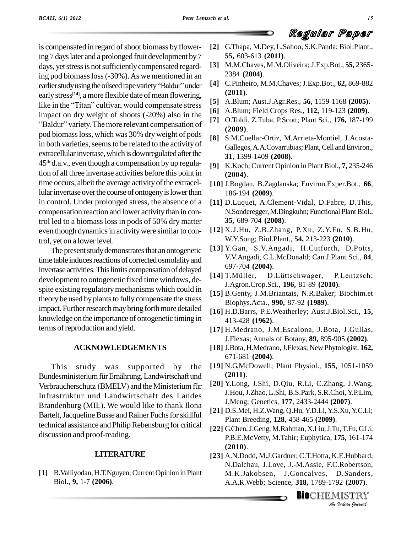is compensated in regard of shoot biomass by flowering 7 dayslater and a prolonged fruit development by7 days, yet stress is not sufficiently compensated regard-<br>ing pod biomass loss (-30%). As we mentioned in an<br>earlier study using the oilseed rape variety "Baldur" under ing pod biomassloss(-30%).As we mentioned in an early stress<sup>[14]</sup>, a more flexible date of mean flowering, earlier study using the oilseed rape variety "Baldur" under [4]<br>early stress<sup>[14]</sup>, a more flexible date of mean flowering,<br>like in the "Titan" cultivar, would compensate stress [5] impact on dry weight of shoots (-20%) also in the like in the "Titan" cultivar, would compensate stress<br>impact on dry weight of shoots  $(-20\%)$  also in the<br>"Baldur" variety. The more relevant compensation of [7] pod biomassloss, which was 30% dryweight of pods in both varieties, seems to be related to the activity of extracellular invertase, which is downregulated after the 45 th d.a.v., even though a compensation by up regulation of all three invertase activities before this point in time occurs, albeit the average activity of the extracellular invertase over the course of ontogeny is lower than in control. Under prolonged stress, the absence of a compensation reaction and lower activity than in control led to a biomass loss in pods of 50% dry matter even though dynamics in activity were similar to control, yet on a lower level.

The present study demonstrates that an ontogenetic time table induces reactions of corrected osmolality and invertase activities. This limits compensation of delayed<br>decay  $\frac{697-704}{141}$  T. Müller, development to ontogenetic fixed time windows, de spite existing regulatorymechanisms which could in theory be used by plants to fully compensate the stress impact. Further research may bring forth more detailed knowledge on the importance of ontogenetic timing in terms of reproduction and yield.

#### **ACKNOWLEDGEMENTS**

This study was supported by the 67<br>This study was supported by the [19] N.<br>Bundesministerium für Ernährung, Landwirtschaft und (2 This study was supported by the [19]<br>Bundesministerium für Ernährung, Landwirtschaft und<br>Verbraucherschutz (BMELV) and the Ministerium für [20] Infrastruktur und Landwirtschaft des Landes Brandenburg (MIL). We would like to thank Ilona Bartelt, Jacqueline Busse and Rainer Fuchs for skillful technical assistance and Philip Rebensburg for critical discussion and proof-reading.

#### **LITERATURE**

[1] B. Valliyodan, H.T. Nguyen; Current Opinion in Plant Biol., **9,** 1-7 **(2006)**.

- **[2]** G.Thapa, M.Dey, L.Sahoo, S.K.Panda; Biol.Plant., **55,** 603-613 **(2011)**.
- **[3]** M.M.Chaves, M.M.Oliveira; J.Exp.Bot., **55,** 2365- 2384 **(2004)**.
- **[4]** C.Pinheiro, M.M.Chaves; J.Exp.Bot., **62,** 869-882 **(2011)**.
- **[5]** A.Blum; Aust.J.Agr.Res., **56,** 1159-1168 **(2005)**.
- **[6]** A.Blum; Field Crops Res., **112,** 119-123 **(2009)**.
- **[7]** O.Toldi, Z.Tuba, P.Scott; Plant Sci., **176,** 187-199 **(2009)**.
- **[8]** S.M.Cuellar-Ortiz, M.Arrieta-Montiel, J.Acosta- Gallegos, A.A.Covarrubias; Plant, Cell and Environ., **31**, 1399-1409 **(2008)**.
- **[9]** K.Koch; Current Opinion in Plant Biol., **7,** 235-246 **(2004)**.
- **[10]** J.Bogdan, B.Zagdanska; Environ.Exper.Bot., **66**, 186-194 **(2009)**.
- **[11]** D.Luquet, A.Clement-Vidal, D.Fabre, D.This, N.Sonderegger, M.Dingkuhn; Functional Plant Biol., **35,** 689-704 **(2008)**.
- **[12]** X.J.Hu, Z.B.Zhang, P.Xu, Z.Y.Fu, S.B.Hu, W.Y.Song; Biol.Plant., **54,** 213-223 **(2010)**.
- **[13]** Y.Gan, S.V.Angadi, H.Cutforth, D.Potts, V.V.Angadi, C.L.McDonald; Can.J.Plant Sci., **84**,<br>697-704 (**2004**).<br>[14] T.Müller, D.Lüttschwager, P.Lentzsch; 697-704 **(2004)**.
- J.Agron.Crop.Sci., **196,** 81-89 **(2010)**.
- **[15]** B.Genty, J.M.Briantais, N.R.Baker; Biochim.et Biophys.Acta., **990,** 87-92 **(1989)**.
- **[16]** H.D.Barrs, P.E.Weatherley; Aust.J.Biol.Sci., **15,** 413-428 **(1962)**.
- **[17]** H.Medrano, J.M.Escalona, J.Bota, J.Gulias, J.Flexas; Annals of Botany, **89,** 895-905 **(2002)**.
- **[18]** J.Bota, H.Medrano,J.Flexas; New Phytologist, **162,** 671-681 **(2004)**.
- **[19]** N.G.McDowell; Plant Physiol., **155**, 1051-1059 **(2011)**.
- **[20]** Y.Long, J.Shi, D.Qiu, R.Li, C.Zhang, J.Wang, J.Hou,J.Zhao, L.Shi, B.S.Park, S.R.Choi, Y.P.Lim, J.Meng; Genetics, **177**, 2433-2444 **(2007)**.
- **[21]** D.S.Mei, H.Z.Wang, Q.Hu, Y.D.Li,Y.S.Xu,Y.C.Li; Plant Breeding, **128**, 458-465 **(2009)**.
- **[22]** G.Chen,J.Geng, M.Rahman, X.Liu,J.Tu,T.Fu,G.Li, P.B.E.McVetty, M.Tahir; Euphytica, **175,** 161-174 **(2010)**.
- *I*E.Hubbard,<br>*I*.Robertson,<br>D.Sanders,<br>92 (2007).<br>IISTRY **[23]** A.N.Dodd, M.J.Gardner, C.T.Hotta, K.E.Hubbard, N.Dalchau, J.Love, J.-M.Assie, F.C.Robertson, M.K.Jakobsen, J.Goncalves, D.Sanders, A.A.R.Webb; Science, **318,** 1789-1792 **(2007)**.